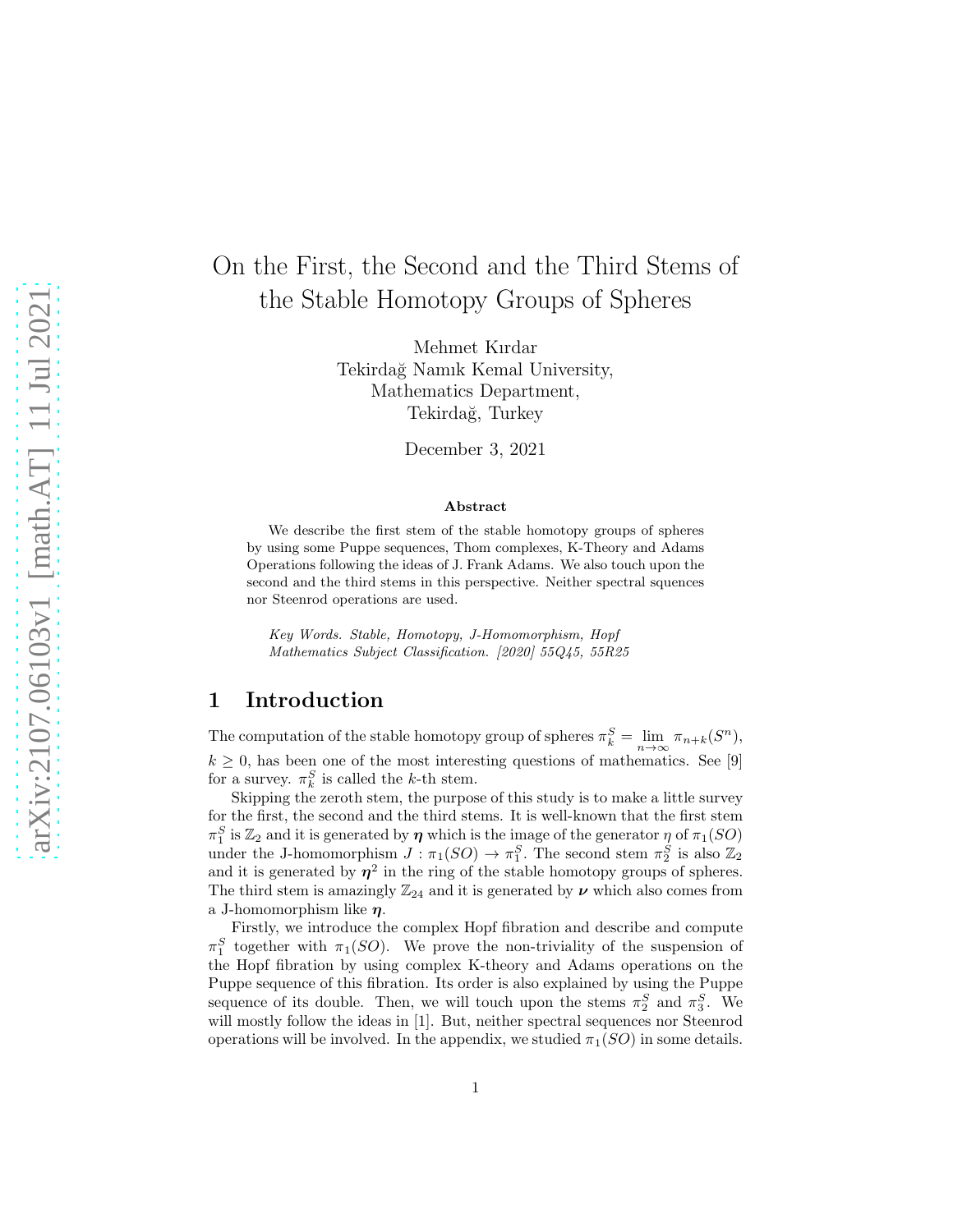# On the First, the Second and the Third Stems of the Stable Homotopy Groups of Spheres

Mehmet Kırdar Tekirdağ Namık Kemal University, Mathematics Department, Tekirdağ, Turkey

December 3, 2021

#### Abstract

We describe the first stem of the stable homotopy groups of spheres by using some Puppe sequences, Thom complexes, K-Theory and Adams Operations following the ideas of J. Frank Adams. We also touch upon the second and the third stems in this perspective. Neither spectral squences nor Steenrod operations are used.

Key Words. Stable, Homotopy, J-Homomorphism, Hopf Mathematics Subject Classification. [2020] 55Q45, 55R25

# 1 Introduction

The computation of the stable homotopy group of spheres  $\pi_k^S = \lim_{n \to \infty} \pi_{n+k}(S^n)$ ,  $k \geq 0$ , has been one of the most interesting questions of mathematics. See [9] for a survey.  $\pi_k^S$  is called the k-th stem.

Skipping the zeroth stem, the purpose of this study is to make a little survey for the first, the second and the third stems. It is well-known that the first stem  $\pi_1^S$  is  $\mathbb{Z}_2$  and it is generated by  $\eta$  which is the image of the generator  $\eta$  of  $\pi_1(SO)$ under the J-homomorphism  $J : \pi_1(SO) \to \pi_1^S$ . The second stem  $\pi_2^S$  is also  $\mathbb{Z}_2$ and it is generated by  $\eta^2$  in the ring of the stable homotopy groups of spheres. The third stem is amazingly  $\mathbb{Z}_{24}$  and it is generated by  $\nu$  which also comes from a J-homomorphism like  $\eta$ .

Firstly, we introduce the complex Hopf fibration and describe and compute  $\pi_1^S$  together with  $\pi_1(SO)$ . We prove the non-triviality of the suspension of the Hopf fibration by using complex K-theory and Adams operations on the Puppe sequence of this fibration. Its order is also explained by using the Puppe sequence of its double. Then, we will touch upon the stems  $\pi_2^S$  and  $\pi_3^S$ . We will mostly follow the ideas in [1]. But, neither spectral sequences nor Steenrod operations will be involved. In the appendix, we studied  $\pi_1(SO)$  in some details.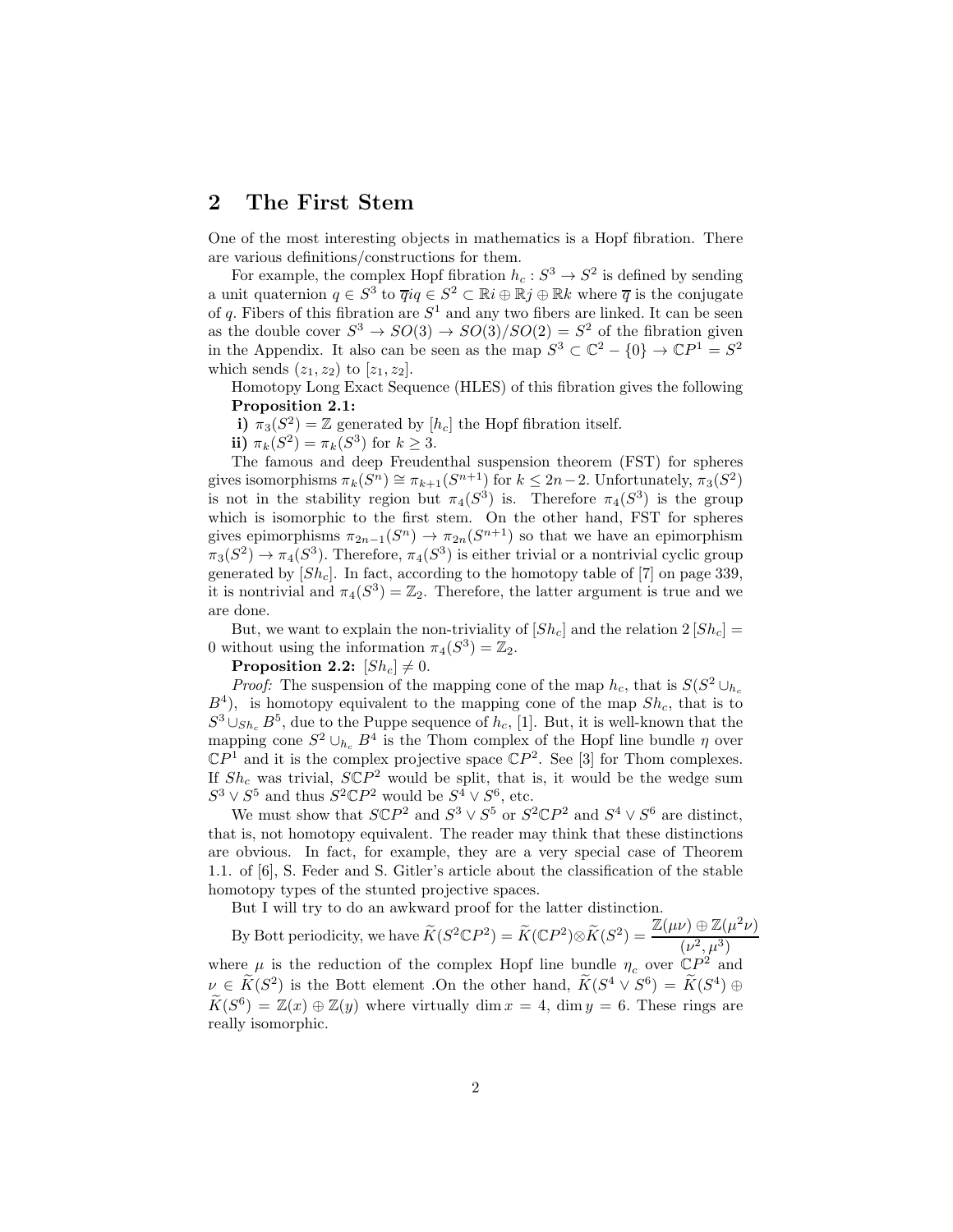#### 2 The First Stem

One of the most interesting objects in mathematics is a Hopf fibration. There are various definitions/constructions for them.

For example, the complex Hopf fibration  $h_c : S^3 \to S^2$  is defined by sending a unit quaternion  $q \in S^3$  to  $\overline{q}iq \in S^2 \subset \mathbb{R}i \oplus \mathbb{R}j \oplus \mathbb{R}k$  where  $\overline{q}$  is the conjugate of q. Fibers of this fibration are  $S^1$  and any two fibers are linked. It can be seen as the double cover  $S^3 \to SO(3) \to SO(3)/SO(2) = S^2$  of the fibration given in the Appendix. It also can be seen as the map  $S^3 \subset \mathbb{C}^2 - \{0\} \to \mathbb{C}P^1 = S^2$ which sends  $(z_1, z_2)$  to  $[z_1, z_2]$ .

Homotopy Long Exact Sequence (HLES) of this fibration gives the following Proposition 2.1:

i)  $\pi_3(S^2) = \mathbb{Z}$  generated by  $[h_c]$  the Hopf fibration itself.

ii)  $\pi_k(S^2) = \pi_k(S^3)$  for  $k \ge 3$ .

The famous and deep Freudenthal suspension theorem (FST) for spheres gives isomorphisms  $\pi_k(S^n) \cong \pi_{k+1}(S^{n+1})$  for  $k \leq 2n-2$ . Unfortunately,  $\pi_3(S^2)$ is not in the stability region but  $\pi_4(S^3)$  is. Therefore  $\pi_4(S^3)$  is the group which is isomorphic to the first stem. On the other hand, FST for spheres gives epimorphisms  $\pi_{2n-1}(S^n) \to \pi_{2n}(S^{n+1})$  so that we have an epimorphism  $\pi_3(S^2) \to \pi_4(S^3)$ . Therefore,  $\pi_4(S^3)$  is either trivial or a nontrivial cyclic group generated by  $[Sh_c]$ . In fact, according to the homotopy table of [7] on page 339, it is nontrivial and  $\pi_4(S^3) = \mathbb{Z}_2$ . Therefore, the latter argument is true and we are done.

But, we want to explain the non-triviality of  $[Sh_c]$  and the relation  $2[Sh_c] =$ 0 without using the information  $\pi_4(S^3) = \mathbb{Z}_2$ .

Proposition 2.2:  $[Sh_c] \neq 0$ .

*Proof:* The suspension of the mapping cone of the map  $h_c$ , that is  $S(S^2 \cup_{h_c}$  $B<sup>4</sup>$ ), is homotopy equivalent to the mapping cone of the map  $Sh_c$ , that is to  $S^3 \cup_{Sh_c} B^5$ , due to the Puppe sequence of  $h_c$ , [1]. But, it is well-known that the mapping cone  $S^2 \cup_{h_c} B^4$  is the Thom complex of the Hopf line bundle  $\eta$  over  $\mathbb{C}P^1$  and it is the complex projective space  $\mathbb{C}P^2$ . See [3] for Thom complexes. If  $Sh_c$  was trivial,  $SCP<sup>2</sup>$  would be split, that is, it would be the wedge sum  $S^3 \vee S^5$  and thus  $S^2 \mathbb{C}P^2$  would be  $S^4 \vee S^6$ , etc.

We must show that  $SCP<sup>2</sup>$  and  $S<sup>3</sup> \vee S<sup>5</sup>$  or  $S<sup>2</sup> \mathbb{C}P<sup>2</sup>$  and  $S<sup>4</sup> \vee S<sup>6</sup>$  are distinct, that is, not homotopy equivalent. The reader may think that these distinctions are obvious. In fact, for example, they are a very special case of Theorem 1.1. of [6], S. Feder and S. Gitler's article about the classification of the stable homotopy types of the stunted projective spaces.

But I will try to do an awkward proof for the latter distinction.

By Bott periodicity, we have  $\widetilde{K}(S^2 \mathbb{C}P^2) = \widetilde{K}(\mathbb{C}P^2) \otimes \widetilde{K}(S^2) = \frac{\mathbb{Z}(\mu\nu) \oplus \mathbb{Z}(\mu^2 \nu)}{(\mu^2 - \mu^3)}$  $(\nu^2, \mu^3)$ where  $\mu$  is the reduction of the complex Hopf line bundle  $\eta_c$  over  $\mathbb{C}P^2$  and  $\nu \in \tilde{K}(S^2)$  is the Bott element .On the other hand,  $\tilde{K}(S^4 \vee S^6) = \tilde{K}(S^4) \oplus$  $\widetilde{K}(S^6) = \mathbb{Z}(x) \oplus \mathbb{Z}(y)$  where virtually dim  $x = 4$ , dim  $y = 6$ . These rings are really isomorphic.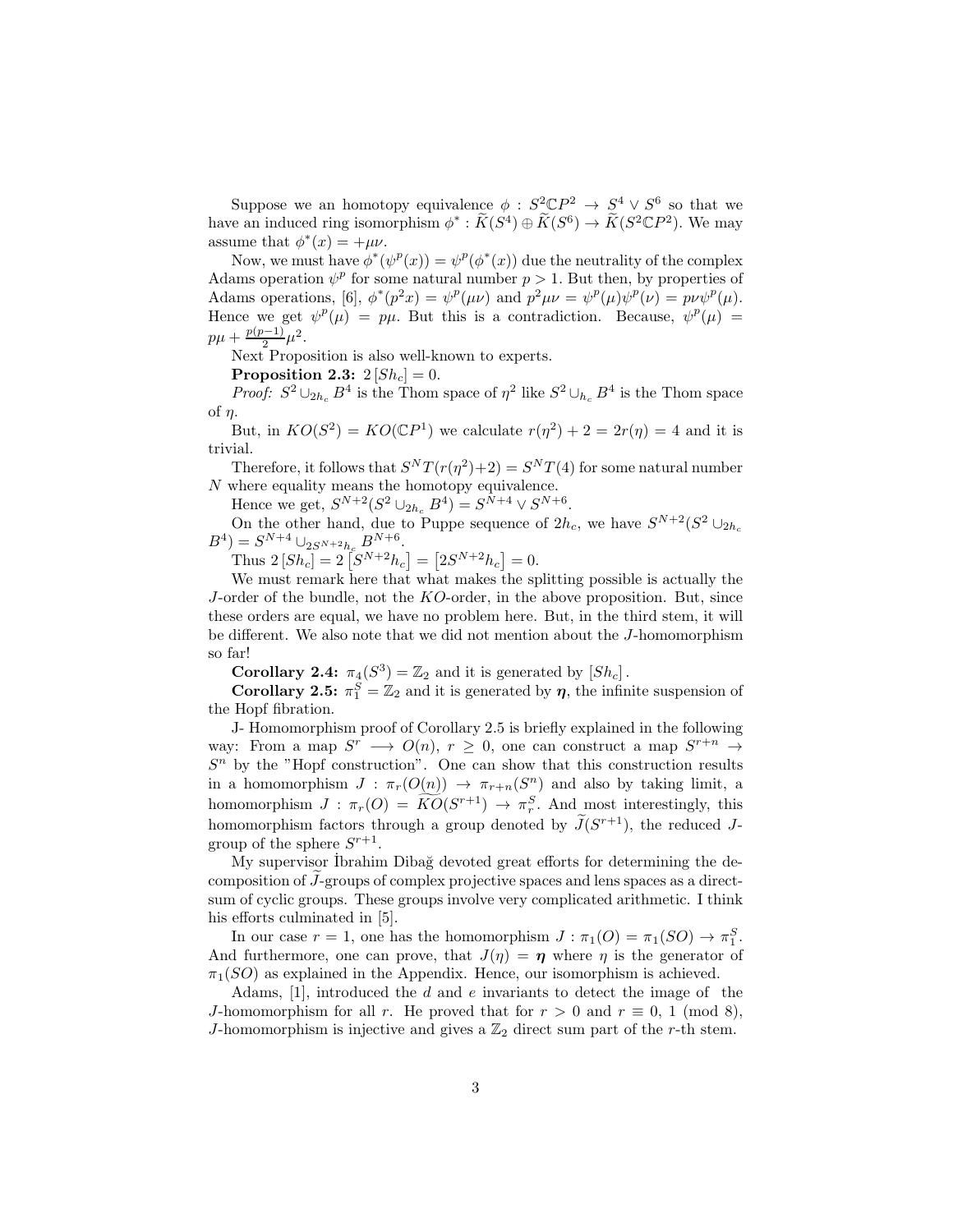Suppose we an homotopy equivalence  $\phi : S^2 \mathbb{C}P^2 \to S^4 \vee S^6$  so that we have an induced ring isomorphism  $\phi^* : \widetilde{K}(S^4) \oplus \widetilde{K}(S^6) \to \widetilde{K}(S^2 \mathbb{C}P^2)$ . We may assume that  $\phi^*(x) = +\mu\nu$ .

Now, we must have  $\phi^*(\psi^p(x)) = \psi^p(\phi^*(x))$  due the neutrality of the complex Adams operation  $\psi^p$  for some natural number  $p > 1$ . But then, by properties of Adams operations, [6],  $\phi^*(p^2x) = \psi^p(\mu\nu)$  and  $p^2\mu\nu = \psi^p(\mu)\psi^p(\nu) = p\nu\psi^p(\mu)$ . Hence we get  $\psi^p(\mu) = p\mu$ . But this is a contradiction. Because,  $\psi^p(\mu) =$  $p\mu + \frac{p(p-1)}{2}$  $\frac{(-1)}{2}\mu^2$ .

Next Proposition is also well-known to experts.

Proposition 2.3:  $2\left[Sh_c\right] = 0$ .

*Proof:*  $S^2 \cup_{2h_c} B^4$  is the Thom space of  $\eta^2$  like  $S^2 \cup_{h_c} B^4$  is the Thom space of  $\eta$ .

But, in  $KO(S^2) = KO(\mathbb{C}P^1)$  we calculate  $r(\eta^2) + 2 = 2r(\eta) = 4$  and it is trivial.

Therefore, it follows that  $S^{N}T(r(\eta^{2})+2) = S^{N}T(4)$  for some natural number N where equality means the homotopy equivalence.

Hence we get,  $S^{N+2}(S^2 \cup_{2h_c} B^4) = S^{N+4} \vee S^{N+6}$ .

On the other hand, due to Puppe sequence of  $2h_c$ , we have  $S^{N+2}(S^2 \cup_{2h_c} S^2)$  $B^4$ ) =  $S^{N+4} \cup_{2S^{N+2}h_c} B^{N+6}$ .

Thus  $2 [Sh_c^{\sim}] = 2 [S^{N+2} h_c] = [2S^{N+2} h_c] = 0.$ 

We must remark here that what makes the splitting possible is actually the J-order of the bundle, not the  $KO$ -order, in the above proposition. But, since these orders are equal, we have no problem here. But, in the third stem, it will be different. We also note that we did not mention about the J-homomorphism so far!

**Corollary 2.4:**  $\pi_4(S^3) = \mathbb{Z}_2$  and it is generated by  $[Sh_c]$ .

**Corollary 2.5:**  $\pi_1^S = \mathbb{Z}_2$  and it is generated by  $\eta$ , the infinite suspension of the Hopf fibration.

J- Homomorphism proof of Corollary 2.5 is briefly explained in the following way: From a map  $S^r \longrightarrow O(n)$ ,  $r \geq 0$ , one can construct a map  $S^{r+n} \rightarrow$  $S<sup>n</sup>$  by the "Hopf construction". One can show that this construction results in a homomorphism  $J : \pi_r(O(n)) \to \pi_{r+n}(S^n)$  and also by taking limit, a homomorphism  $J : \pi_r(O) = \widehat{KO}(S^{r+1}) \to \pi_r^S$ . And most interestingly, this homomorphism factors through a group denoted by  $J(S^{r+1})$ , the reduced Jgroup of the sphere  $S^{r+1}$ .

My supervisor Ibrahim Dibağ devoted great efforts for determining the decomposition of  $\tilde{J}$ -groups of complex projective spaces and lens spaces as a directsum of cyclic groups. These groups involve very complicated arithmetic. I think his efforts culminated in [5].

In our case  $r = 1$ , one has the homomorphism  $J : \pi_1(O) = \pi_1(SO) \to \pi_1^S$ . And furthermore, one can prove, that  $J(\eta) = \eta$  where  $\eta$  is the generator of  $\pi_1(SO)$  as explained in the Appendix. Hence, our isomorphism is achieved.

Adams,  $[1]$ , introduced the d and e invariants to detect the image of the J-homomorphism for all r. He proved that for  $r > 0$  and  $r \equiv 0, 1 \pmod{8}$ , J-homomorphism is injective and gives a  $\mathbb{Z}_2$  direct sum part of the r-th stem.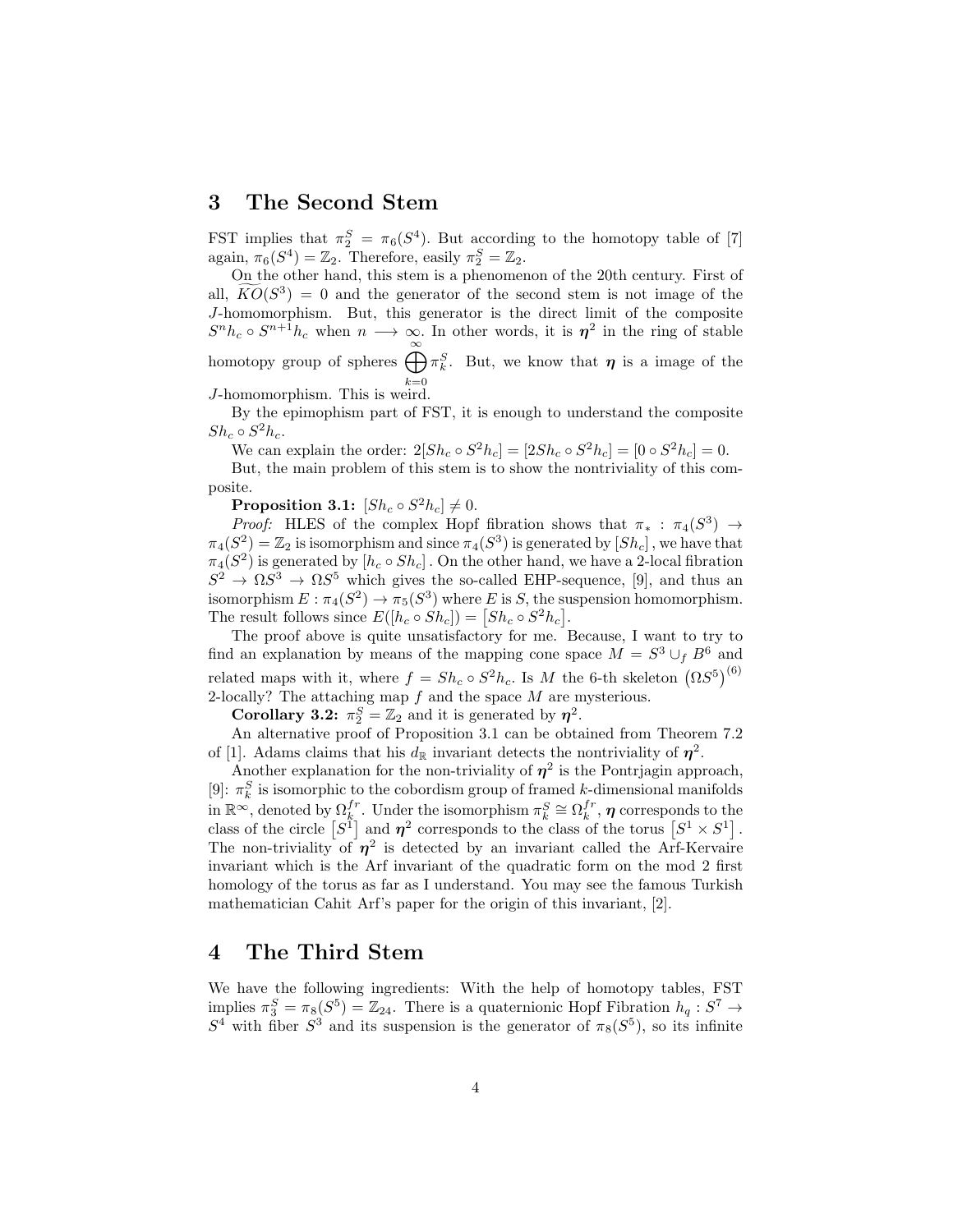#### 3 The Second Stem

FST implies that  $\pi_2^S = \pi_6(S^4)$ . But according to the homotopy table of [7] again,  $\pi_6(S^4) = \mathbb{Z}_2$ . Therefore, easily  $\pi_2^S = \mathbb{Z}_2$ .

On the other hand, this stem is a phenomenon of the 20th century. First of all,  $\widehat{KO}(S^3) = 0$  and the generator of the second stem is not image of the J-homomorphism. But, this generator is the direct limit of the composite  $S^n h_c \circ S^{n+1} h_c$  when  $n \longrightarrow \infty$ . In other words, it is  $\eta^2$  in the ring of stable homotopy group of spheres  $\bigoplus_{k=1}^{\infty} \pi_k^S$ . But, we know that  $\eta$  is a image of the

 $J$ -homomorphism. This is weird.

By the epimophism part of FST, it is enough to understand the composite  $Sh_c \circ S^2 h_c$ .

We can explain the order:  $2[Sh_c \circ S^2 h_c] = [2Sh_c \circ S^2 h_c] = [0 \circ S^2 h_c] = 0.$ 

But, the main problem of this stem is to show the nontriviality of this composite.

 $\textbf{Proposition 3.1:} \; [Sh_c \circ S^2 h_c] \neq 0.$ 

*Proof:* HLES of the complex Hopf fibration shows that  $\pi_*$ :  $\pi_4(S^3)$  →  $\pi_4(S^2) = \mathbb{Z}_2$  is isomorphism and since  $\pi_4(S^3)$  is generated by  $[Sh_c]$  , we have that  $\pi_4(S^2)$  is generated by  $[h_c \circ Sh_c]$  . On the other hand, we have a 2-local fibration  $S^2 \to \Omega S^3 \to \Omega S^5$  which gives the so-called EHP-sequence, [9], and thus an isomorphism  $E : \pi_4(S^2) \to \pi_5(S^3)$  where E is S, the suspension homomorphism. The result follows since  $E([h_c \circ Sh_c]) = [Sh_c \circ S^2 h_c].$ 

The proof above is quite unsatisfactory for me. Because, I want to try to find an explanation by means of the mapping cone space  $M = S^3 \cup_f B^6$  and related maps with it, where  $f = Sh_c \circ S^2 h_c$ . Is M the 6-th skeleton  $(\Omega S^5)^{(6)}$ 2-locally? The attaching map  $f$  and the space  $M$  are mysterious.

**Corollary 3.2:**  $\pi_2^S = \mathbb{Z}_2$  and it is generated by  $\eta^2$ .

An alternative proof of Proposition 3.1 can be obtained from Theorem 7.2 of [1]. Adams claims that his  $d_{\mathbb{R}}$  invariant detects the nontriviality of  $\eta^2$ .

Another explanation for the non-triviality of  $\eta^2$  is the Pontrjagin approach, [9]:  $\pi_k^S$  is isomorphic to the cobordism group of framed k-dimensional manifolds in  $\mathbb{R}^{\infty}$ , denoted by  $\Omega_{k}^{fr}$ . Under the isomorphism  $\pi_k^S \cong \Omega_k^{fr}$ ,  $\eta$  corresponds to the class of the circle  $[S^1]$  and  $\eta^2$  corresponds to the class of the torus  $[S^1 \times S^1]$ . The non-triviality of  $\eta^2$  is detected by an invariant called the Arf-Kervaire invariant which is the Arf invariant of the quadratic form on the mod 2 first homology of the torus as far as I understand. You may see the famous Turkish mathematician Cahit Arf's paper for the origin of this invariant, [2].

#### 4 The Third Stem

We have the following ingredients: With the help of homotopy tables, FST implies  $\pi_3^S = \pi_8(S^5) = \mathbb{Z}_{24}$ . There is a quaternionic Hopf Fibration  $h_q : S^7 \to$  $S<sup>4</sup>$  with fiber  $S<sup>3</sup>$  and its suspension is the generator of  $\pi_8(S<sup>5</sup>)$ , so its infinite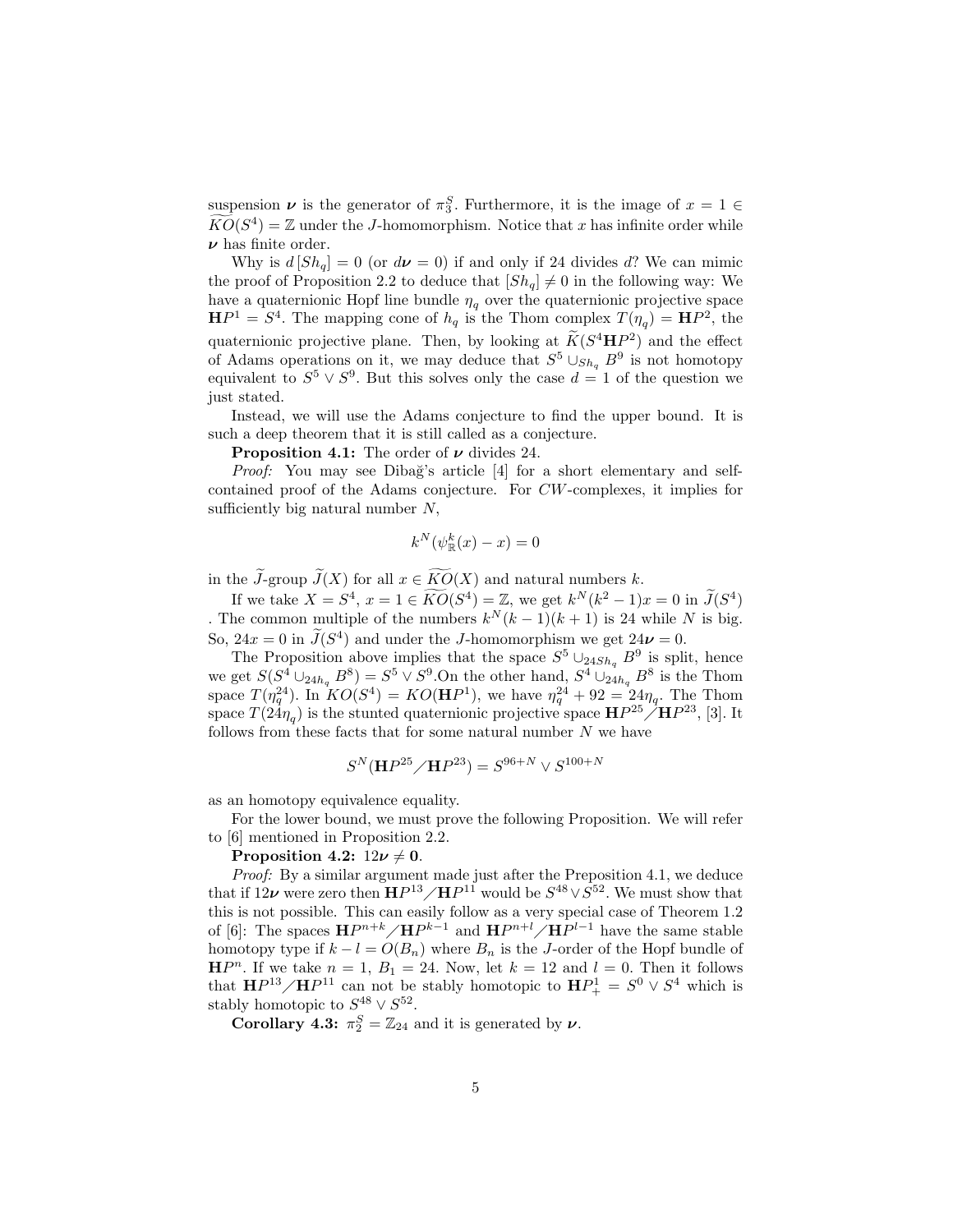suspension  $\nu$  is the generator of  $\pi_3^S$ . Furthermore, it is the image of  $x = 1 \in$  $KO(S^4) = \mathbb{Z}$  under the *J*-homomorphism. Notice that x has infinite order while  $\nu$  has finite order.

Why is  $d [Sh_q] = 0$  (or  $d\boldsymbol{\nu} = 0$ ) if and only if 24 divides d? We can mimic the proof of Proposition 2.2 to deduce that  $[Sh_q] \neq 0$  in the following way: We have a quaternionic Hopf line bundle  $\eta_q$  over the quaternionic projective space  $\mathbf{H}P^1 = S^4$ . The mapping cone of  $h_q$  is the Thom complex  $T(\eta_q) = \mathbf{H}P^2$ , the quaternionic projective plane. Then, by looking at  $\widetilde{K}(S^4 H P^2)$  and the effect of Adams operations on it, we may deduce that  $S^5 \cup_{Sh_q} B^9$  is not homotopy equivalent to  $S^5 \vee S^9$ . But this solves only the case  $d = 1$  of the question we just stated.

Instead, we will use the Adams conjecture to find the upper bound. It is such a deep theorem that it is still called as a conjecture.

**Proposition 4.1:** The order of  $\nu$  divides 24.

*Proof:* You may see Dibağ's article [4] for a short elementary and selfcontained proof of the Adams conjecture. For CW-complexes, it implies for sufficiently big natural number N,

$$
k^N(\psi^k_{\mathbb{R}}(x) - x) = 0
$$

in the  $\widetilde{J}$ -group  $\widetilde{J}(X)$  for all  $x \in \widetilde{KO}(X)$  and natural numbers k.

If we take  $X = S^4$ ,  $x = 1 \in KO(S^4) = \mathbb{Z}$ , we get  $k^N(k^2 - 1)x = 0$  in  $J(S^4)$ . The common multiple of the numbers  $k^N(k-1)(k+1)$  is 24 while N is big. So,  $24x = 0$  in  $\tilde{J}(S^4)$  and under the *J*-homomorphism we get  $24\nu = 0$ .

The Proposition above implies that the space  $S^5 \cup_{24Sh_q} B^9$  is split, hence we get  $S(S^4 \cup_{24h_q} B^8) = S^5 \vee S^9$ . On the other hand,  $S^4 \cup_{24h_q} B^8$  is the Thom space  $T(\eta_q^{24})$ . In  $KO(S^4) = KO(\mathbf{H}P^1)$ , we have  $\eta_q^{24} + 92 = 24\eta_q$ . The Thom space  $T(24\eta_q)$  is the stunted quaternionic projective space  $\mathbf{H}P^{25}/\mathbf{H}P^{23}$ , [3]. It follows from these facts that for some natural number  $N$  we have

$$
S^{N}(\mathbf{H}P^{25} / \mathbf{H}P^{23}) = S^{96+N} \vee S^{100+N}
$$

as an homotopy equivalence equality.

For the lower bound, we must prove the following Proposition. We will refer to [6] mentioned in Proposition 2.2.

Proposition 4.2:  $12\nu \neq 0$ .

*Proof:* By a similar argument made just after the Preposition 4.1, we deduce that if  $12\nu$  were zero then  $\mathbf{H}P^{13}/\mathbf{H}P^{11}$  would be  $S^{48}\vee S^{52}$ . We must show that this is not possible. This can easily follow as a very special case of Theorem 1.2 of [6]: The spaces  $\mathbf{H}P^{n+k}/\mathbf{H}P^{k-1}$  and  $\mathbf{H}P^{n+l}/\mathbf{H}P^{l-1}$  have the same stable homotopy type if  $k - l = O(B_n)$  where  $B_n$  is the J-order of the Hopf bundle of  $\mathbf{H}P^{n}$ . If we take  $n = 1, B_1 = 24$ . Now, let  $k = 12$  and  $l = 0$ . Then it follows that  $\mathbf{H}P^{13}/\mathbf{H}P^{11}$  can not be stably homotopic to  $\mathbf{H}P^{1}_{+} = S^{0} \vee S^{4}$  which is stably homotopic to  $S^{48} \vee S^{52}$ .

**Corollary 4.3:**  $\pi_2^S = \mathbb{Z}_{24}$  and it is generated by  $\nu$ .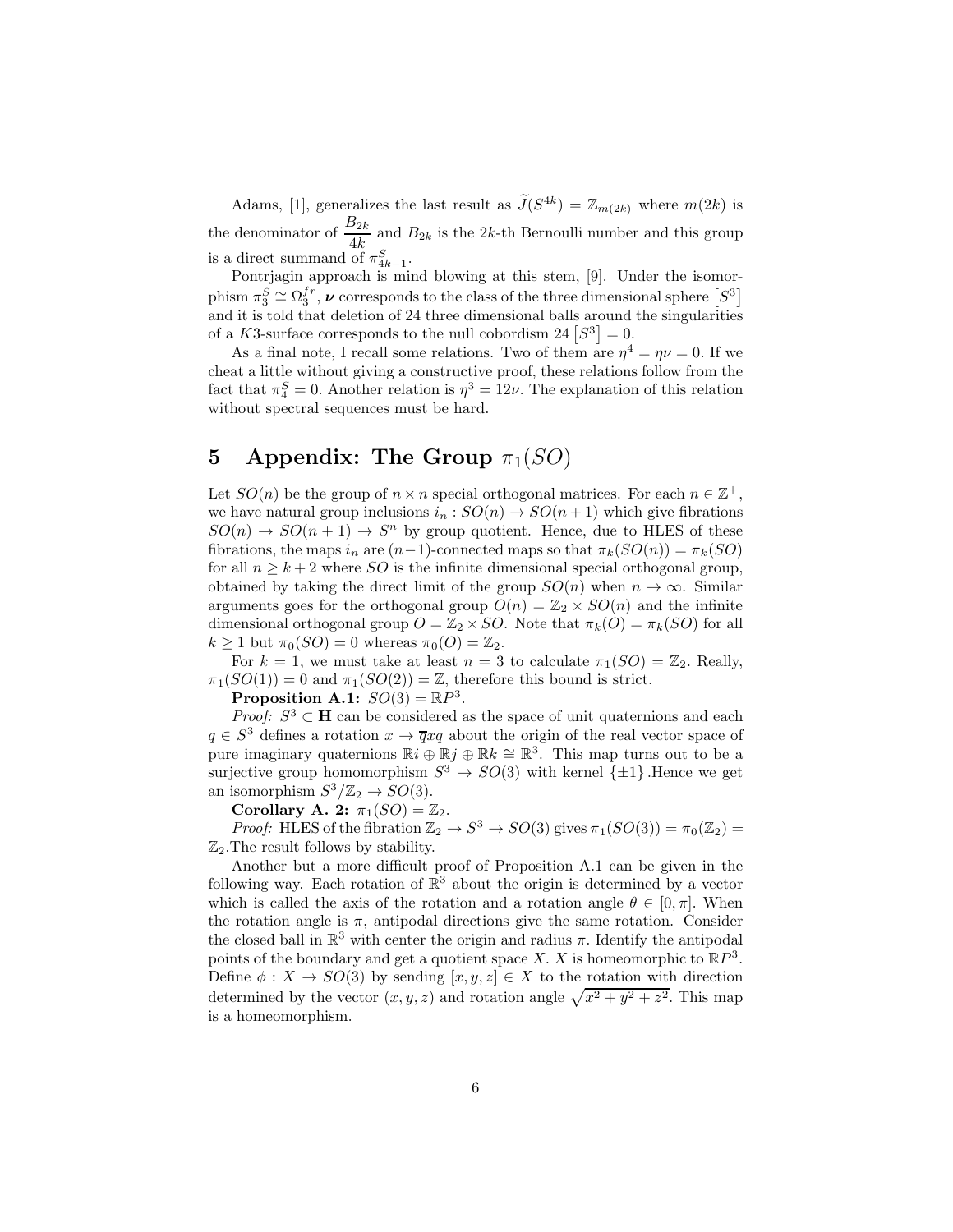Adams, [1], generalizes the last result as  $\tilde{J}(S^{4k}) = \mathbb{Z}_{m(2k)}$  where  $m(2k)$  is the denominator of  $\frac{B_{2k}}{4k}$  and  $B_{2k}$  is the 2k-th Bernoulli number and this group is a direct summand of  $\pi_{4k-1}^S$ .

Pontrjagin approach is mind blowing at this stem, [9]. Under the isomorphism  $\pi_3^S \cong \Omega_3^{fr}$ ,  $\nu$  corresponds to the class of the three dimensional sphere  $[S^3]$ and it is told that deletion of 24 three dimensional balls around the singularities of a K3-surface corresponds to the null cobordism  $24 [S^3] = 0$ .

As a final note, I recall some relations. Two of them are  $\eta^4 = \eta \nu = 0$ . If we cheat a little without giving a constructive proof, these relations follow from the fact that  $\pi_4^S = 0$ . Another relation is  $\eta^3 = 12\nu$ . The explanation of this relation without spectral sequences must be hard.

## 5 Appendix: The Group  $\pi_1(SO)$

Let  $SO(n)$  be the group of  $n \times n$  special orthogonal matrices. For each  $n \in \mathbb{Z}^+$ , we have natural group inclusions  $i_n : SO(n) \to SO(n+1)$  which give fibrations  $SO(n) \rightarrow SO(n+1) \rightarrow S^n$  by group quotient. Hence, due to HLES of these fibrations, the maps  $i_n$  are  $(n-1)$ -connected maps so that  $\pi_k(SO(n)) = \pi_k(SO)$ for all  $n \geq k+2$  where *SO* is the infinite dimensional special orthogonal group, obtained by taking the direct limit of the group  $SO(n)$  when  $n \to \infty$ . Similar arguments goes for the orthogonal group  $O(n) = \mathbb{Z}_2 \times SO(n)$  and the infinite dimensional orthogonal group  $O = \mathbb{Z}_2 \times SO$ . Note that  $\pi_k(O) = \pi_k(SO)$  for all  $k \geq 1$  but  $\pi_0(SO) = 0$  whereas  $\pi_0(O) = \mathbb{Z}_2$ .

For  $k = 1$ , we must take at least  $n = 3$  to calculate  $\pi_1(SO) = \mathbb{Z}_2$ . Really,  $\pi_1(SO(1)) = 0$  and  $\pi_1(SO(2)) = \mathbb{Z}$ , therefore this bound is strict.

Proposition A.1:  $SO(3) = \mathbb{R}P^3$ .

*Proof:*  $S^3 \subset \mathbf{H}$  can be considered as the space of unit quaternions and each  $q \in S^3$  defines a rotation  $x \to \overline{q}xq$  about the origin of the real vector space of pure imaginary quaternions  $\mathbb{R} i \oplus \mathbb{R} j \oplus \mathbb{R} k \cong \mathbb{R}^3$ . This map turns out to be a surjective group homomorphism  $S^3 \to SO(3)$  with kernel  $\{\pm 1\}$ . Hence we get an isomorphism  $S^3/\mathbb{Z}_2 \to SO(3)$ .

Corollary A. 2:  $\pi_1(SO) = \mathbb{Z}_2$ .

*Proof:* HLES of the fibration  $\mathbb{Z}_2 \to S^3 \to SO(3)$  gives  $\pi_1(SO(3)) = \pi_0(\mathbb{Z}_2) =$  $\mathbb{Z}_2$ . The result follows by stability.

Another but a more difficult proof of Proposition A.1 can be given in the following way. Each rotation of  $\mathbb{R}^3$  about the origin is determined by a vector which is called the axis of the rotation and a rotation angle  $\theta \in [0, \pi]$ . When the rotation angle is  $\pi$ , antipodal directions give the same rotation. Consider the closed ball in  $\mathbb{R}^3$  with center the origin and radius  $\pi$ . Identify the antipodal points of the boundary and get a quotient space X. X is homeomorphic to  $\mathbb{R}P^3$ . Define  $\phi: X \to SO(3)$  by sending  $[x, y, z] \in X$  to the rotation with direction determined by the vector  $(x, y, z)$  and rotation angle  $\sqrt{x^2 + y^2 + z^2}$ . This map is a homeomorphism.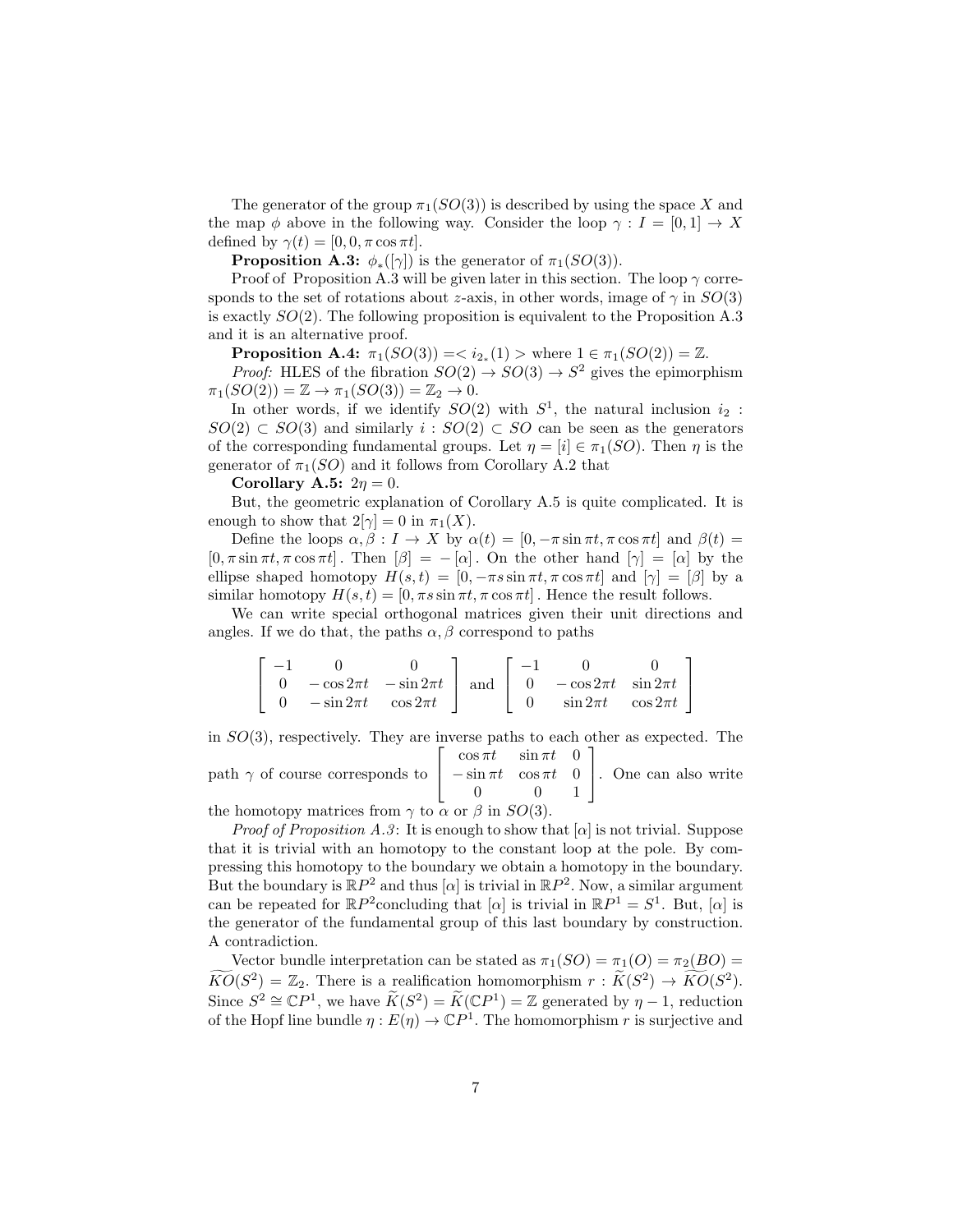The generator of the group  $\pi_1(SO(3))$  is described by using the space X and the map  $\phi$  above in the following way. Consider the loop  $\gamma : I = [0, 1] \rightarrow X$ defined by  $\gamma(t) = [0, 0, \pi \cos \pi t]$ .

**Proposition A.3:**  $\phi_*([\gamma])$  is the generator of  $\pi_1(SO(3))$ .

Proof of Proposition A.3 will be given later in this section. The loop  $\gamma$  corresponds to the set of rotations about z-axis, in other words, image of  $\gamma$  in  $SO(3)$ is exactly  $SO(2)$ . The following proposition is equivalent to the Proposition A.3 and it is an alternative proof.

**Proposition A.4:**  $\pi_1(SO(3)) = \langle i_{2_*}(1) \rangle$  where  $1 \in \pi_1(SO(2)) = \mathbb{Z}$ .

*Proof:* HLES of the fibration  $SO(2) \rightarrow SO(3) \rightarrow S^2$  gives the epimorphism  $\pi_1(SO(2)) = \mathbb{Z} \rightarrow \pi_1(SO(3)) = \mathbb{Z}_2 \rightarrow 0.$ 

In other words, if we identify  $SO(2)$  with  $S<sup>1</sup>$ , the natural inclusion  $i_2$ :  $SO(2) \subset SO(3)$  and similarly  $i: SO(2) \subset SO$  can be seen as the generators of the corresponding fundamental groups. Let  $\eta = [i] \in \pi_1(SO)$ . Then  $\eta$  is the generator of  $\pi_1(SO)$  and it follows from Corollary A.2 that

Corollary A.5:  $2\eta = 0$ .

But, the geometric explanation of Corollary A.5 is quite complicated. It is enough to show that  $2[\gamma] = 0$  in  $\pi_1(X)$ .

Define the loops  $\alpha, \beta : I \to X$  by  $\alpha(t) = [0, -\pi \sin \pi t, \pi \cos \pi t]$  and  $\beta(t) =$  $[0, \pi \sin \pi t, \pi \cos \pi t]$ . Then  $[\beta] = -[\alpha]$ . On the other hand  $[\gamma] = [\alpha]$  by the ellipse shaped homotopy  $H(s,t) = [0, -\pi s \sin \pi t, \pi \cos \pi t]$  and  $[\gamma] = [\beta]$  by a similar homotopy  $H(s, t) = [0, \pi s \sin \pi t, \pi \cos \pi t]$ . Hence the result follows.

We can write special orthogonal matrices given their unit directions and angles. If we do that, the paths  $\alpha, \beta$  correspond to paths

| $-1$ |                                                                      |  |                                                               |  |
|------|----------------------------------------------------------------------|--|---------------------------------------------------------------|--|
|      | $0 - \cos 2\pi t$ $-\sin 2\pi t$ and $0 - \cos 2\pi t$ $\sin 2\pi t$ |  |                                                               |  |
|      | 0 $-\sin 2\pi t$ $\cos 2\pi t$                                       |  | $\begin{vmatrix} 0 & \sin 2\pi t & \cos 2\pi t \end{vmatrix}$ |  |

in SO(3), respectively. They are inverse paths to each other as expected. The  $\overline{1}$  $\cos \pi t$   $\sin \pi t$  0  $\overline{\phantom{a}}$ 

path  $\gamma$  of course corresponds to  $\mathbf{I}$  $-\sin \pi t \cos \pi t = 0$ 0 0 1 . One can also write

the homotopy matrices from  $\gamma$  to  $\alpha$  or  $\beta$  in  $SO(3)$ .

*Proof of Proposition A.3*: It is enough to show that  $[\alpha]$  is not trivial. Suppose that it is trivial with an homotopy to the constant loop at the pole. By compressing this homotopy to the boundary we obtain a homotopy in the boundary. But the boundary is  $\mathbb{R}P^2$  and thus  $[\alpha]$  is trivial in  $\mathbb{R}P^2$ . Now, a similar argument can be repeated for  $\mathbb{R}P^2$ concluding that  $[\alpha]$  is trivial in  $\mathbb{R}P^1 = S^1$ . But,  $[\alpha]$  is the generator of the fundamental group of this last boundary by construction. A contradiction.

Vector bundle interpretation can be stated as  $\pi_1(SO) = \pi_1(O) = \pi_2(BO)$  $\widetilde{KO}(S^2) = \mathbb{Z}_2$ . There is a realification homomorphism  $r : \widetilde{K}(S^2) \to \widetilde{KO}(S^2)$ . Since  $S^2 \cong \mathbb{C}P^1$ , we have  $\widetilde{K}(S^2) = \widetilde{K}(\mathbb{C}P^1) = \mathbb{Z}$  generated by  $\eta - 1$ , reduction of the Hopf line bundle  $\eta: E(\eta) \to \mathbb{C}P^1$ . The homomorphism r is surjective and